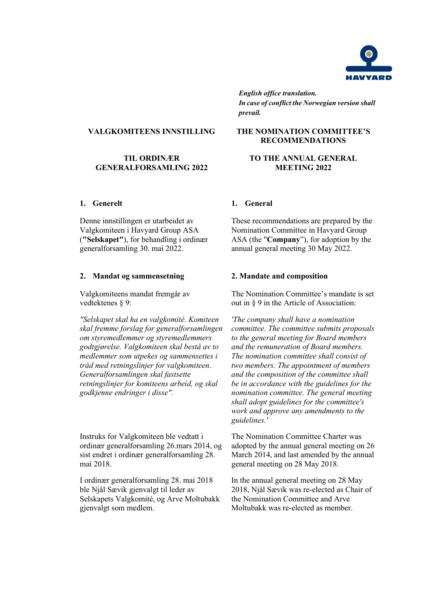

*English office translation. In case of conflict the Norwegian version shall prevail.*

### **VALGKOMITEENS INNSTILLING**

### **TIL ORDINÆR GENERALFORSAMLING 2022**

### **1. Generelt 1. General**

Denne innstillingen er utarbeidet av Valgkomiteen i Havyard Group ASA (**"Selskapet"**), for behandling i ordinær generalforsamling 30. mai 2022.

### **2. Mandat og sammensetning 2. Mandate and composition**

Valgkomiteens mandat fremgår av vedtektenes § 9:

*"Selskapet skal ha en valgkomité. Komiteen skal fremme forslag for generalforsamlingen om styremedlemmer og styremedlemmers godtgjørelse. Valgkomiteen skal bestå av to medlemmer som utpekes og sammensettes i tråd med retningslinjer for valgkomiteen. Generalforsamlingen skal fastsette retningslinjer for komiteens arbeid, og skal godkjenne endringer i disse".*

Instruks for Valgkomiteen ble vedtatt i ordinær generalforsamling 26.mars 2014, og sist endret i ordinær generalforsamling 28. mai 2018.

I ordinær generalforsamling 28. mai 2018 ble Njål Sævik gjenvalgt til leder av Selskapets Valgkomité, og Arve Moltubakk gjenvalgt som medlem.

### **THE NOMINATION COMMITTEE'S RECOMMENDATIONS**

### **TO THE ANNUAL GENERAL MEETING 2022**

These recommendations are prepared by the Nomination Committee in Havyard Group ASA (the "**Company**"), for adoption by the annual general meeting 30 May 2022.

The Nomination Committee's mandate is set out in § 9 in the Article of Association:

*'The company shall have a nomination committee. The committee submits proposals to the general meeting for Board members and the remuneration of Board members. The nomination committee shall consist of two members. The appointment of members and the composition of the committee shall be in accordance with the guidelines for the nomination committee. The general meeting shall adopt guidelines for the committee's work and approve any amendments to the guidelines.'*

The Nomination Committee Charter was adopted by the annual general meeting on 26 March 2014, and last amended by the annual general meeting on 28 May 2018.

In the annual general meeting on 28 May 2018, Njål Sævik was re-elected as Chair of the Nomination Committee and Arve Moltubakk was re-elected as member.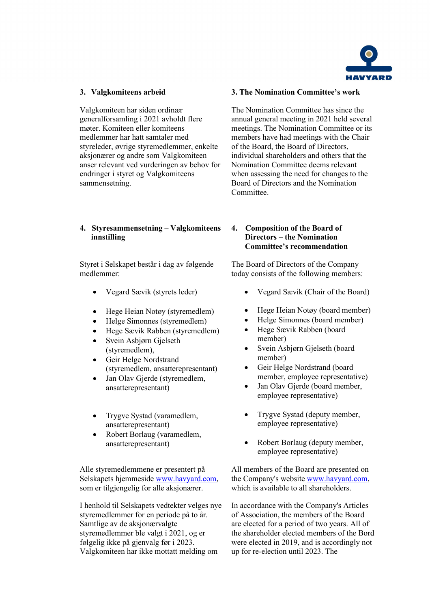

Valgkomiteen har siden ordinær generalforsamling i 2021 avholdt flere møter. Komiteen eller komiteens medlemmer har hatt samtaler med styreleder, øvrige styremedlemmer, enkelte aksjonærer og andre som Valgkomiteen anser relevant ved vurderingen av behov for endringer i styret og Valgkomiteens sammensetning.

## **4. Styresammensetning – Valgkomiteens innstilling**

Styret i Selskapet består i dag av følgende medlemmer:

- Vegard Sævik (styrets leder)
- Hege Heian Notøy (styremedlem)
- Helge Simonnes (styremedlem)
- Hege Sævik Rabben (styremedlem)
- Svein Asbjørn Gjelseth (styremedlem),
- Geir Helge Nordstrand (styremedlem, ansatterepresentant)
- Jan Olav Gjerde (styremedlem, ansatterepresentant)
- Trygve Systad (varamedlem, ansatterepresentant)
- Robert Borlaug (varamedlem, ansatterepresentant)

Alle styremedlemmene er presentert på Selskapets hjemmeside [www.havyard.com,](http://www.havyard.com/) som er tilgjengelig for alle aksjonærer.

I henhold til Selskapets vedtekter velges nye styremedlemmer for en periode på to år. Samtlige av de aksjonærvalgte styremedlemmer ble valgt i 2021, og er følgelig ikke på gjenvalg før i 2023. Valgkomiteen har ikke mottatt melding om

### **3. Valgkomiteens arbeid 3. The Nomination Committee's work**

The Nomination Committee has since the annual general meeting in 2021 held several meetings. The Nomination Committee or its members have had meetings with the Chair of the Board, the Board of Directors, individual shareholders and others that the Nomination Committee deems relevant when assessing the need for changes to the Board of Directors and the Nomination Committee.

## **4. Composition of the Board of Directors – the Nomination Committee's recommendation**

The Board of Directors of the Company today consists of the following members:

- Vegard Sævik (Chair of the Board)
- Hege Heian Notøy (board member)
- Helge Simonnes (board member)
- Hege Sævik Rabben (board member)
- Svein Asbjørn Gjelseth (board member)
- Geir Helge Nordstrand (board member, employee representative)
- Jan Olav Gjerde (board member, employee representative)
- Trygve Systad (deputy member, employee representative)
- Robert Borlaug (deputy member, employee representative)

All members of the Board are presented on the Company's website [www.havyard.com,](http://www.havyard.com/) which is available to all shareholders.

In accordance with the Company's Articles of Association, the members of the Board are elected for a period of two years. All of the shareholder elected members of the Bord were elected in 2019, and is accordingly not up for re-election until 2023. The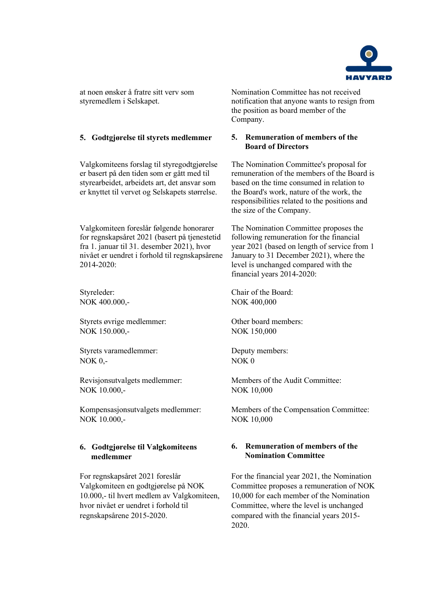

at noen ønsker å fratre sitt verv som styremedlem i Selskapet.

### **5. Godtgjørelse til styrets medlemmer 5. Remuneration of members of the**

Valgkomiteens forslag til styregodtgjørelse er basert på den tiden som er gått med til styrearbeidet, arbeidets art, det ansvar som er knyttet til vervet og Selskapets størrelse.

Valgkomiteen foreslår følgende honorarer for regnskapsåret 2021 (basert på tjenestetid fra 1. januar til 31. desember 2021), hvor nivået er uendret i forhold til regnskapsårene 2014-2020:

Styreleder: NOK 400.000,-

Styrets øvrige medlemmer: NOK 150.000,-

Styrets varamedlemmer: NOK 0,-

Revisjonsutvalgets medlemmer: NOK 10.000,-

Kompensasjonsutvalgets medlemmer: NOK 10.000,-

# **6. Godtgjørelse til Valgkomiteens medlemmer**

For regnskapsåret 2021 foreslår Valgkomiteen en godtgjørelse på NOK 10.000,- til hvert medlem av Valgkomiteen, hvor nivået er uendret i forhold til regnskapsårene 2015-2020.

Nomination Committee has not received notification that anyone wants to resign from the position as board member of the Company.

# **Board of Directors**

The Nomination Committee's proposal for remuneration of the members of the Board is based on the time consumed in relation to the Board's work, nature of the work, the responsibilities related to the positions and the size of the Company.

The Nomination Committee proposes the following remuneration for the financial year 2021 (based on length of service from 1 January to 31 December 2021), where the level is unchanged compared with the financial years 2014-2020:

Chair of the Board: NOK 400,000

Other board members: NOK 150,000

Deputy members: NOK 0

Members of the Audit Committee: NOK 10,000

Members of the Compensation Committee: NOK 10,000

### **6. Remuneration of members of the Nomination Committee**

For the financial year 2021, the Nomination Committee proposes a remuneration of NOK 10,000 for each member of the Nomination Committee, where the level is unchanged compared with the financial years 2015- 2020.